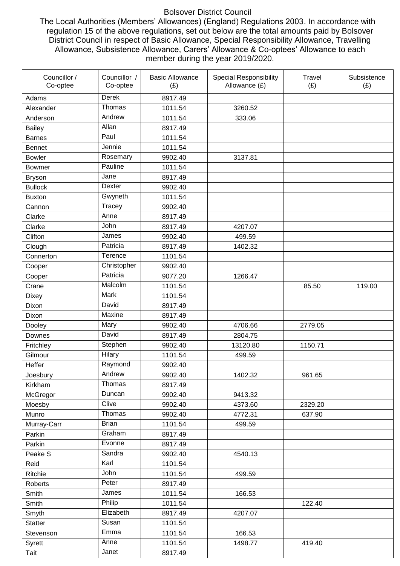## Bolsover District Council

The Local Authorities (Members' Allowances) (England) Regulations 2003. In accordance with regulation 15 of the above regulations, set out below are the total amounts paid by Bolsover District Council in respect of Basic Allowance, Special Responsibility Allowance, Travelling Allowance, Subsistence Allowance, Carers' Allowance & Co-optees' Allowance to each member during the year 2019/2020.

| Councillor /<br>Co-optee | Councillor /<br>Co-optee | <b>Basic Allowance</b><br>(E) | <b>Special Responsibility</b><br>Allowance (£) | Travel<br>(E) | Subsistence<br>(E) |
|--------------------------|--------------------------|-------------------------------|------------------------------------------------|---------------|--------------------|
| Adams                    | Derek                    | 8917.49                       |                                                |               |                    |
| Alexander                | Thomas                   | 1011.54                       | 3260.52                                        |               |                    |
| Anderson                 | Andrew                   | 1011.54                       | 333.06                                         |               |                    |
| <b>Bailey</b>            | Allan                    | 8917.49                       |                                                |               |                    |
| <b>Barnes</b>            | Paul                     | 1011.54                       |                                                |               |                    |
| <b>Bennet</b>            | Jennie                   | 1011.54                       |                                                |               |                    |
| <b>Bowler</b>            | Rosemary                 | 9902.40                       | 3137.81                                        |               |                    |
| <b>Bowmer</b>            | Pauline                  | 1011.54                       |                                                |               |                    |
| <b>Bryson</b>            | Jane                     | 8917.49                       |                                                |               |                    |
| <b>Bullock</b>           | Dexter                   | 9902.40                       |                                                |               |                    |
| <b>Buxton</b>            | Gwyneth                  | 1011.54                       |                                                |               |                    |
| Cannon                   | Tracey                   | 9902.40                       |                                                |               |                    |
| Clarke                   | Anne                     | 8917.49                       |                                                |               |                    |
| Clarke                   | John                     | 8917.49                       | 4207.07                                        |               |                    |
| Clifton                  | James                    | 9902.40                       | 499.59                                         |               |                    |
| Clough                   | Patricia                 | 8917.49                       | 1402.32                                        |               |                    |
| Connerton                | Terence                  | 1101.54                       |                                                |               |                    |
| Cooper                   | Christopher              | 9902.40                       |                                                |               |                    |
| Cooper                   | Patricia                 | 9077.20                       | 1266.47                                        |               |                    |
| Crane                    | Malcolm                  | 1101.54                       |                                                | 85.50         | 119.00             |
| <b>Dixey</b>             | <b>Mark</b>              | 1101.54                       |                                                |               |                    |
| Dixon                    | David                    | 8917.49                       |                                                |               |                    |
| Dixon                    | Maxine                   | 8917.49                       |                                                |               |                    |
| Dooley                   | Mary                     | 9902.40                       | 4706.66                                        | 2779.05       |                    |
| Downes                   | David                    | 8917.49                       | 2804.75                                        |               |                    |
| Fritchley                | Stephen                  | 9902.40                       | 13120.80                                       | 1150.71       |                    |
| Gilmour                  | Hilary                   | 1101.54                       | 499.59                                         |               |                    |
| Heffer                   | Raymond                  | 9902.40                       |                                                |               |                    |
| Joesbury                 | Andrew                   | 9902.40                       | 1402.32                                        | 961.65        |                    |
| Kirkham                  | Thomas                   | 8917.49                       |                                                |               |                    |
| McGregor                 | Duncan                   | 9902.40                       | 9413.32                                        |               |                    |
| Moesby                   | Clive                    | 9902.40                       | 4373.60                                        | 2329.20       |                    |
| Munro                    | Thomas                   | 9902.40                       | 4772.31                                        | 637.90        |                    |
| Murray-Carr              | <b>Brian</b>             | 1101.54                       | 499.59                                         |               |                    |
| Parkin                   | Graham                   | 8917.49                       |                                                |               |                    |
| Parkin                   | Evonne                   | 8917.49                       |                                                |               |                    |
| Peake S                  | Sandra                   | 9902.40                       | 4540.13                                        |               |                    |
| Reid                     | Karl                     | 1101.54                       |                                                |               |                    |
| Ritchie                  | John                     | 1101.54                       | 499.59                                         |               |                    |
| Roberts                  | Peter                    | 8917.49                       |                                                |               |                    |
| Smith                    | James                    | 1011.54                       | 166.53                                         |               |                    |
| Smith                    | Philip                   | 1011.54                       |                                                | 122.40        |                    |
| Smyth                    | Elizabeth                | 8917.49                       | 4207.07                                        |               |                    |
| <b>Statter</b>           | Susan                    | 1101.54                       |                                                |               |                    |
| Stevenson                | Emma                     | 1101.54                       | 166.53                                         |               |                    |
| Syrett                   | Anne                     | 1101.54                       | 1498.77                                        | 419.40        |                    |
| Tait                     | Janet                    | 8917.49                       |                                                |               |                    |